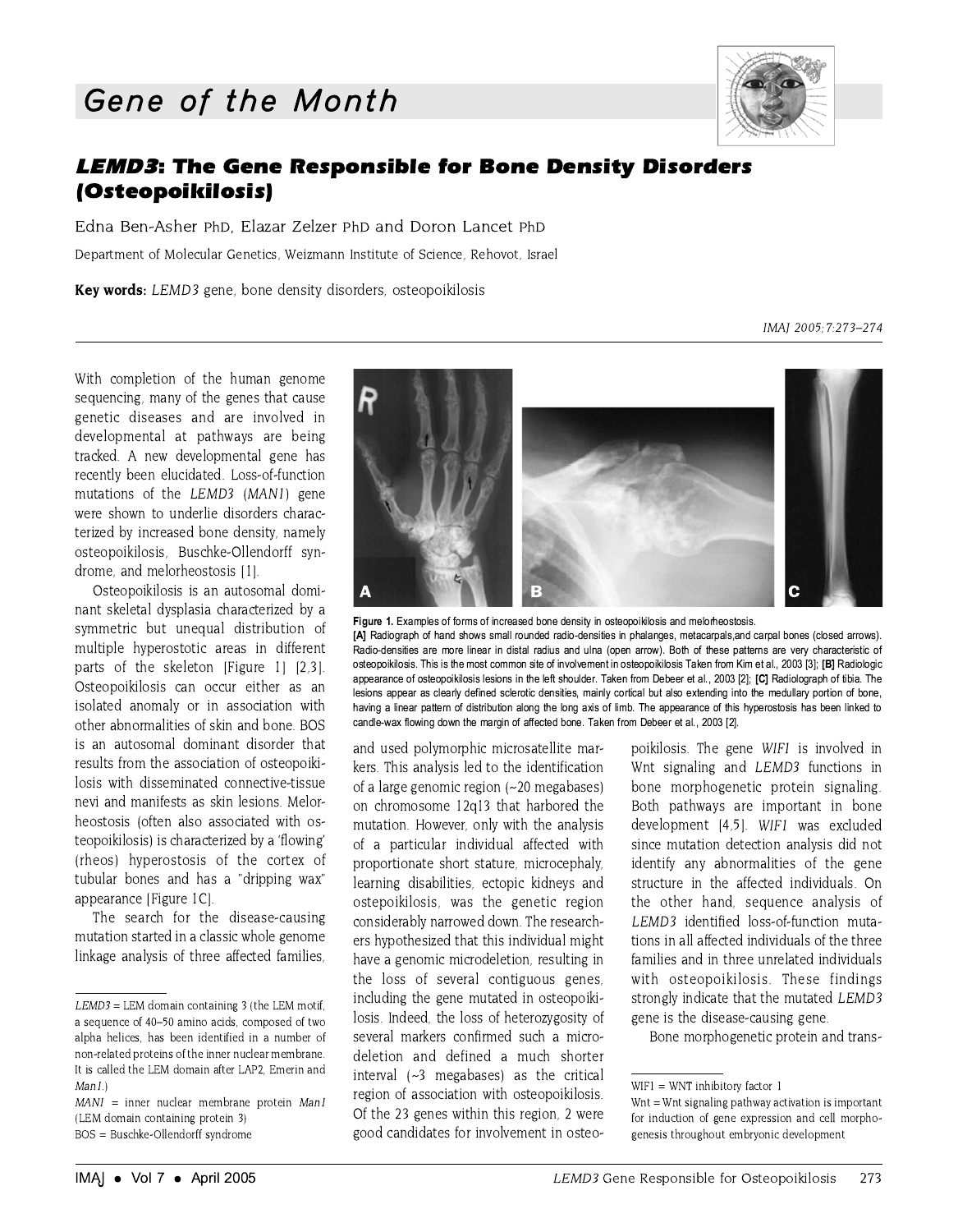## Gene of the Month



## **LEMD3: The Gene Responsible for Bone Density Disorders** (Osteopoikilosis)

Edna Ben-Asher PhD. Elazar Zelzer PhD and Doron Lancet PhD Department of Molecular Genetics, Weizmann Institute of Science, Rehovot, Israel

Key words: LEMD3 gene, bone density disorders, osteopoikilosis

IMAJ 2005; 7:273-274

With completion of the human genome sequencing, many of the genes that cause genetic diseases and are involved in developmental at pathways are being tracked. A new developmental gene has recently been elucidated. Loss-of-function mutations of the LEMD3 (MAN1) gene were shown to underlie disorders characterized by increased bone density, namely osteopoikilosis, Buschke-Ollendorff syndrome, and melorheostosis [1].

Osteopoikilosis is an autosomal dominant skeletal dysplasia characterized by a symmetric but unequal distribution of multiple hyperostotic areas in different parts of the skeleton [Figure 1] [2.3]. Osteopoikilosis can occur either as an isolated anomaly or in association with other abnormalities of skin and bone. BOS is an autosomal dominant disorder that results from the association of osteopoikilosis with disseminated connective-tissue nevi and manifests as skin lesions. Melorheostosis (often also associated with osteopoikilosis) is characterized by a 'flowing' (rheos) hyperostosis of the cortex of tubular bones and has a "dripping wax" appearance [Figure 1C].

The search for the disease-causing mutation started in a classic whole genome linkage analysis of three affected families,





and used polymorphic microsatellite markers. This analysis led to the identification of a large genomic region (~20 megabases) on chromosome 12q13 that harbored the mutation. However, only with the analysis of a particular individual affected with proportionate short stature, microcephaly, learning disabilities, ectopic kidneys and ostepoikilosis, was the genetic region considerably narrowed down. The researchers hypothesized that this individual might have a genomic microdeletion, resulting in the loss of several contiguous genes, including the gene mutated in osteopoikilosis. Indeed, the loss of heterozygosity of several markers confirmed such a microdeletion and defined a much shorter interval  $(-3$  megabases) as the critical region of association with osteopoikilosis. Of the 23 genes within this region, 2 were good candidates for involvement in osteopoikilosis. The gene WIF1 is involved in Wnt signaling and LEMD3 functions in bone morphogenetic protein signaling. Both pathways are important in bone development [4,5]. WIFI was excluded since mutation detection analysis did not identify any abnormalities of the gene structure in the affected individuals. On the other hand, sequence analysis of LEMD3 identified loss-of-function mutations in all affected individuals of the three families and in three unrelated individuals with osteopoikilosis. These findings strongly indicate that the mutated LEMD3 gene is the disease-causing gene.

Bone morphogenetic protein and trans-

 $LEMD3 = LEM$  domain containing 3 (the LEM motif, a sequence of 40-50 amino acids, composed of two alpha helices, has been identified in a number of non-related proteins of the inner nuclear membrane. It is called the LEM domain after LAP2, Emerin and  $Man1$ 

 $MANI = inner nuclear membrane protein$  Man1 (LEM domain containing protein 3)

BOS = Buschke-Ollendorff syndrome

 $WIF1 = WNT$  inhibitory factor 1

Wnt = Wnt signaling pathway activation is important for induction of gene expression and cell morphogenesis throughout embryonic development